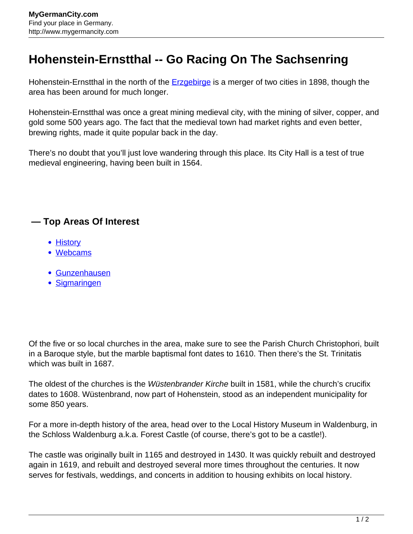## **Hohenstein-Ernstthal -- Go Racing On The Sachsenring**

Hohenstein-Ernstthal in the north of the [Erzgebirge](http://www.mygermancity.com/ore-mountains) is a merger of two cities in 1898, though the area has been around for much longer.

Hohenstein-Ernstthal was once a great mining medieval city, with the mining of silver, copper, and gold some 500 years ago. The fact that the medieval town had market rights and even better, brewing rights, made it quite popular back in the day.

There's no doubt that you'll just love wandering through this place. Its City Hall is a test of true medieval engineering, having been built in 1564.

## **— Top Areas Of Interest**

- **[History](http://www.mygermancity.com/leipzig-history)**
- [Webcams](http://www.mygermancity.com/neustadt-holstein-webcams)
- [Gunzenhausen](http://www.mygermancity.com/gunzenhausen)
- [Sigmaringen](http://www.mygermancity.com/sigmaringen)

Of the five or so local churches in the area, make sure to see the Parish Church Christophori, built in a Baroque style, but the marble baptismal font dates to 1610. Then there's the St. Trinitatis which was built in 1687.

The oldest of the churches is the Wüstenbrander Kirche built in 1581, while the church's crucifix dates to 1608. Wüstenbrand, now part of Hohenstein, stood as an independent municipality for some 850 years.

For a more in-depth history of the area, head over to the Local History Museum in Waldenburg, in the Schloss Waldenburg a.k.a. Forest Castle (of course, there's got to be a castle!).

The castle was originally built in 1165 and destroyed in 1430. It was quickly rebuilt and destroyed again in 1619, and rebuilt and destroyed several more times throughout the centuries. It now serves for festivals, weddings, and concerts in addition to housing exhibits on local history.